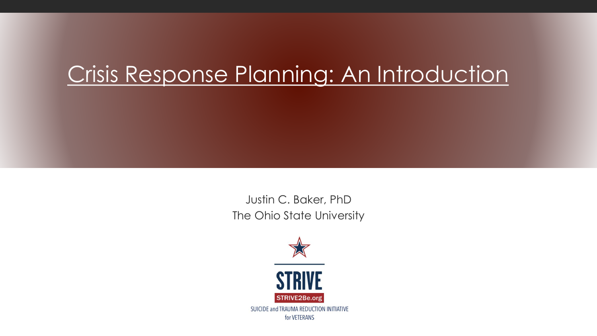## Crisis Response Planning: An Introduction

Justin C. Baker, PhD The Ohio State University

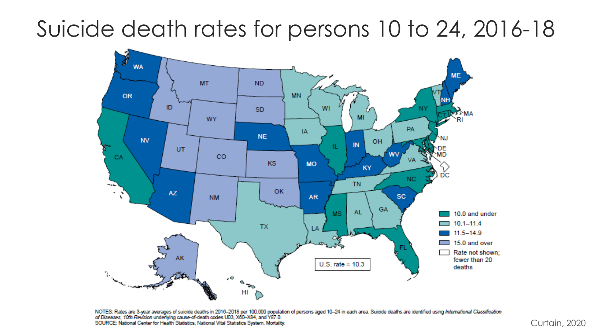#### **NATIONAL CENTER FOR VETERANS STUDIES** Suicide death rates for persons 10 to 24, 2016-18



NOTES: Rates are 3-year averages of suicide deaths in 2016–2018 per 100,000 population of persons aged 10–24 in each area. Suicide deaths are identified using International Classification<br>of Diseases, 10th Revision underly SOURCE: National Center for Health Statistics, National Vital Statistics System, Mortality.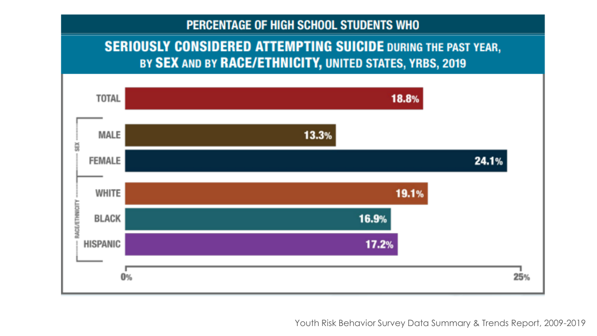#### PERCENTAGE OF HIGH SCHOOL STUDENTS WHO

#### **SERIOUSLY CONSIDERED ATTEMPTING SUICIDE DURING THE PAST YEAR,** BY SEX AND BY RACE/ETHNICITY, UNITED STATES, YRBS, 2019



Youth Risk Behavior Survey Data Summary & Trends Report, 2009-2019

**NATIONAL CENTER**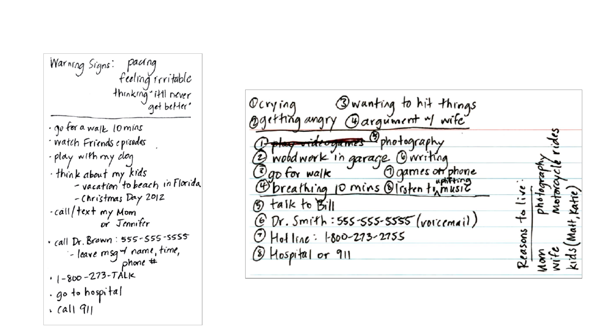pacring Warning Signs: feeling irritable throkrog it'll never 'get better' · go for a walk lomins ' watch Friends episodes. - play with my dog · think about my kids -vacation to beach in Florida -Christmas Day 2012 -call/text my Mom or Jennifer  $\cdot$  call Dr. Brown: 555-555-5555 -leave msg of name, time,  $.1 - 800 - 273 - TALK$ . go to hospital  $\cdot$  call 911

Qwanting to hit things Ocrying Ogetting angry Gargument "I wife" play videogames  $\mathcal Q$ phołography 2 wood work in garage Owriting Ogo for walk 10 mins Olgames of phone<br>Obreathing 10 mins Olisten tymusic taik to Bill භ @ Dr. Smith:555-555-5555 (voicemail)  $HolIne: 1800-273-2755$ essons  $\cal O$ (8) Hospital or 911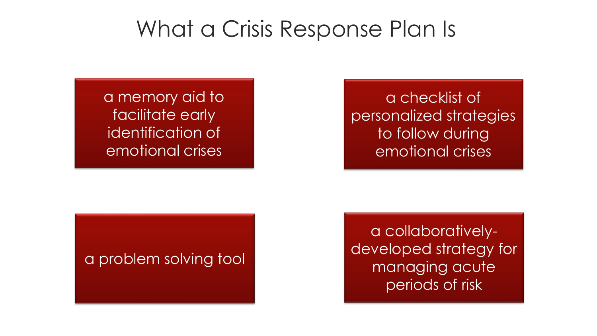#### What a Crisis Response Plan Is

a memory aid to facilitate early identification of emotional crises

a checklist of personalized strategies to follow during emotional crises

#### a problem solving tool

a collaborativelydeveloped strategy for managing acute periods of risk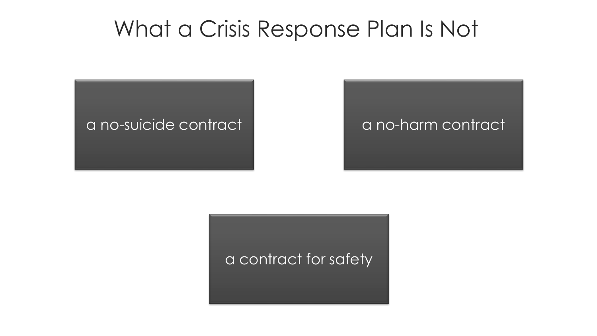#### What a Crisis Response Plan Is Not



a contract for safety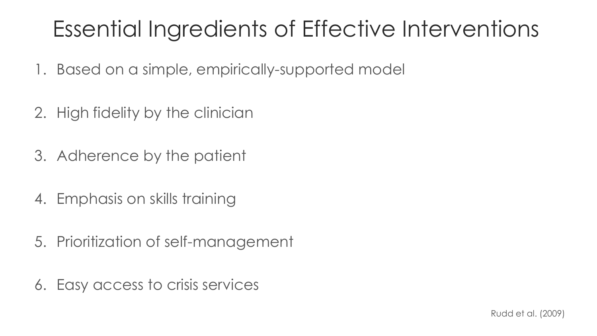# Essential Ingredients of Effective Interventions

- 1. Based on a simple, empirically-supported model
- 2. High fidelity by the clinician
- 3. Adherence by the patient
- 4. Emphasis on skills training
- 5. Prioritization of self-management
- 6. Easy access to crisis services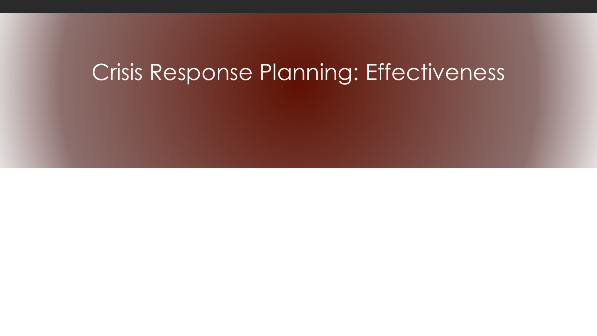#### Crisis Response Planning: Effectiveness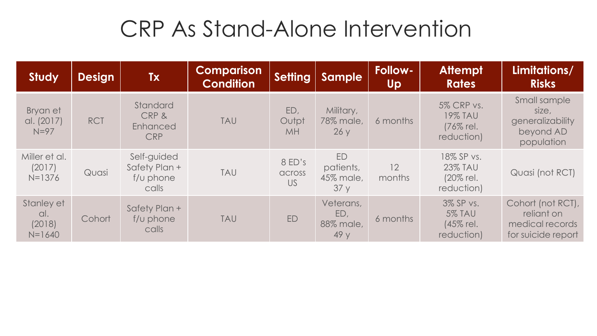## CRP As Stand-Alone Intervention

| <b>Study</b>                              | <b>Design</b> | <b>Tx</b>                                               | <b>Comparison</b><br><b>Condition</b> | Setting                   | <b>Sample</b>                        | <b>Follow-</b><br><b>Up</b> | <b>Attempt</b><br><b>Rates</b>                                 | Limitations/<br><b>Risks</b>                                             |
|-------------------------------------------|---------------|---------------------------------------------------------|---------------------------------------|---------------------------|--------------------------------------|-----------------------------|----------------------------------------------------------------|--------------------------------------------------------------------------|
| Bryan et<br>al. (2017)<br>$N=97$          | <b>RCT</b>    | Standard<br>CRP &<br>Enhanced<br><b>CRP</b>             | <b>TAU</b>                            | ED,<br>Outpt<br><b>MH</b> | Military,<br>78% male,<br>26y        | 6 months                    | <b>5% CRP vs.</b><br><b>19% TAU</b><br>(76% rel.<br>reduction) | Small sample<br>size,<br>generalizability<br>beyond AD<br>population     |
| Miller et al.<br>(2017)<br>$N = 1376$     | Quasi         | Self-guided<br>Safety Plan +<br>$f/\cup$ phone<br>calls | <b>TAU</b>                            | 8 ED's<br>across<br>US    | ED<br>patients,<br>45% male,<br>37y  | 12<br>months                | 18% SP vs.<br><b>23% TAU</b><br>(20% rel.)<br>reduction)       | Quasi (not RCT)                                                          |
| Stanley et<br>al.<br>(2018)<br>$N = 1640$ | Cohort        | Safety Plan +<br>$f/\cup$ phone<br>calls                | <b>TAU</b>                            | ED                        | Veterans,<br>ED,<br>88% male,<br>49y | 6 months                    | 3% SP vs.<br><b>5% TAU</b><br>(45% rel.<br>reduction)          | Cohort (not RCT),<br>reliant on<br>medical records<br>for suicide report |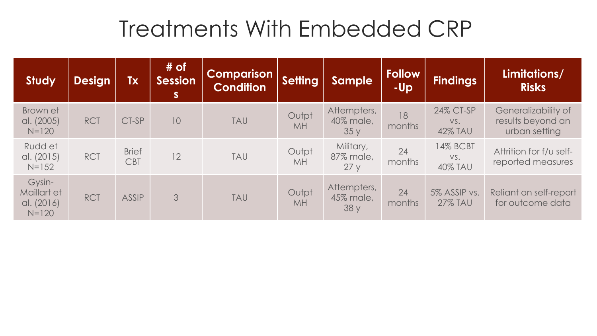#### Treatments With Embedded CRP

| <b>Study</b>                                     | <b>Design</b> | <b>Tx</b>                  | $#$ of<br><b>Session</b><br><b>S</b> | <b>Comparison</b><br><b>Condition</b> | <b>Setting</b>     | <b>Sample</b>                    | <b>Follow</b><br>-Up | <b>Findings</b>                    | Limitations/<br><b>Risks</b>                              |
|--------------------------------------------------|---------------|----------------------------|--------------------------------------|---------------------------------------|--------------------|----------------------------------|----------------------|------------------------------------|-----------------------------------------------------------|
| Brown et<br>al. (2005)<br>$N = 120$              | <b>RCT</b>    | CT-SP                      | 10                                   | <b>TAU</b>                            | Outpt<br><b>MH</b> | Attempters,<br>40% male,<br>35y  | 18<br>months         | 24% CT-SP<br>VS.<br><b>42% TAU</b> | Generalizability of<br>results beyond an<br>urban setting |
| Rudd et<br>al. (2015)<br>$N = 152$               | <b>RCT</b>    | <b>Brief</b><br><b>CBT</b> | 12                                   | <b>TAU</b>                            | Outpt<br>MH        | Military,<br>87% male,<br>27y    | 24<br>months         | 14% BCBT<br>VS.<br><b>40% TAU</b>  | Attrition for f/u self-<br>reported measures              |
| Gysin-<br>Maillart et<br>al. (2016)<br>$N = 120$ | <b>RCT</b>    | <b>ASSIP</b>               | 3                                    | <b>TAU</b>                            | Outpt<br><b>MH</b> | Attempters,<br>45% male,<br>38 y | 24<br>months         | 5% ASSIP vs.<br><b>27% TAU</b>     | Reliant on self-report<br>for outcome data                |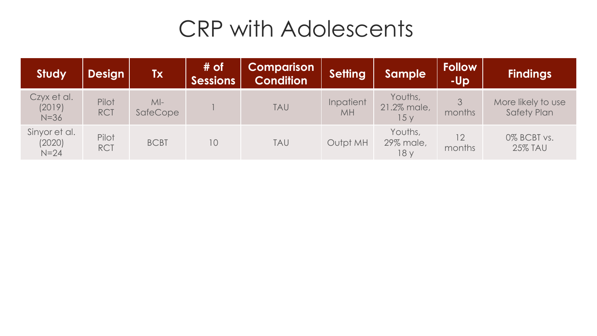## **CRP with Adolescents**

| <b>Study</b>                      | <b>Design</b>       | <b>Tx</b>                | # of<br><b>Sessions</b> | Comparison<br><b>Condition</b> | <b>Setting</b>  | <b>Sample</b>                 | <b>Follow</b><br>-Up      | <b>Findings</b>                          |
|-----------------------------------|---------------------|--------------------------|-------------------------|--------------------------------|-----------------|-------------------------------|---------------------------|------------------------------------------|
| Czyx et al.<br>(2019)<br>$N=36$   | Pilot<br><b>RCT</b> | $M-I$<br><b>SafeCope</b> |                         | <b>TAU</b>                     | Inpatient<br>MH | Youths,<br>21.2% male,<br>15y | months                    | More likely to use<br><b>Safety Plan</b> |
| Sinyor et al.<br>(2020)<br>$N=24$ | Pilot<br><b>RCT</b> | <b>BCBT</b>              | 10                      | <b>TAU</b>                     | Outpt MH        | Youths,<br>29% male,<br>18 y  | 12 <sup>°</sup><br>months | 0% BCBT vs.<br><b>25% TAU</b>            |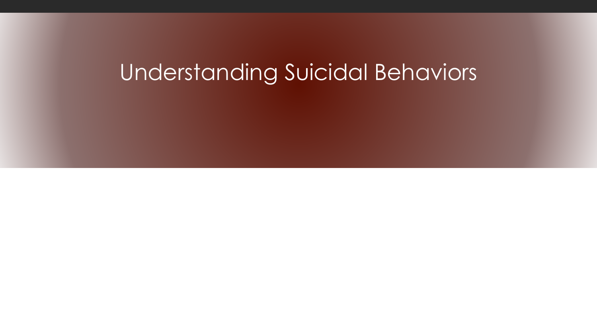## Understanding Suicidal Behaviors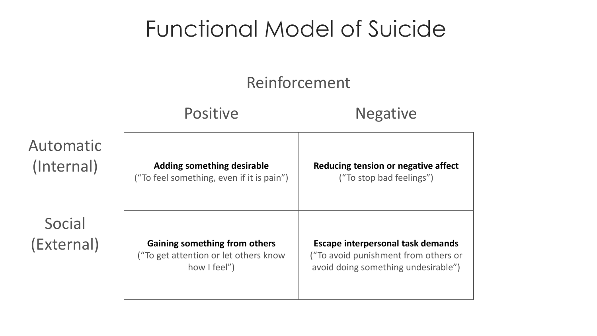## Functional Model of Suicide

#### Reinforcement

|                         | <b>Positive</b>                                                                               | <b>Negative</b>                                                                                                         |
|-------------------------|-----------------------------------------------------------------------------------------------|-------------------------------------------------------------------------------------------------------------------------|
| Automatic<br>(Internal) | <b>Adding something desirable</b><br>("To feel something, even if it is pain")                | Reducing tension or negative affect<br>("To stop bad feelings")                                                         |
| Social<br>(External)    | <b>Gaining something from others</b><br>("To get attention or let others know<br>how I feel") | <b>Escape interpersonal task demands</b><br>("To avoid punishment from others or<br>avoid doing something undesirable") |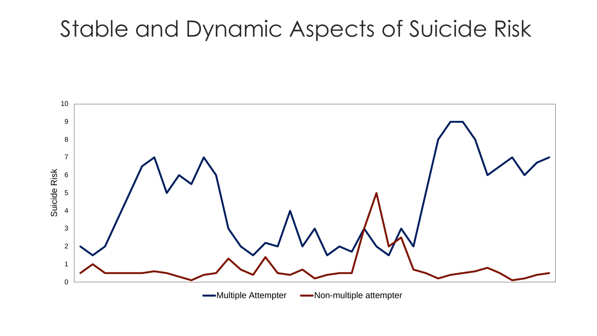#### **U** NATIONAL Stable and Dynamic Aspects of Suicide Risk

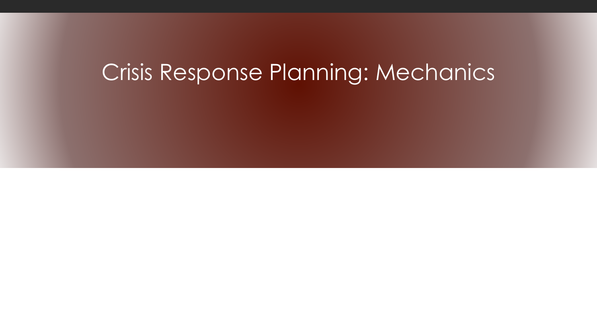#### Crisis Response Planning: Mechanics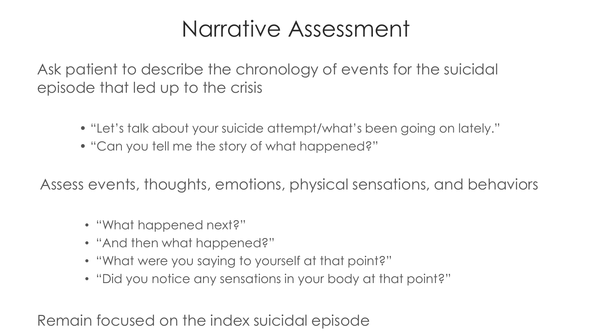#### Narrative Assessment

Ask patient to describe the chronology of events for the suicidal episode that led up to the crisis

- "Let's talk about your suicide attempt/what's been going on lately."
- "Can you tell me the story of what happened?"

Assess events, thoughts, emotions, physical sensations, and behaviors

- "What happened next?"
- "And then what happened?"
- "What were you saying to yourself at that point?"
- "Did you notice any sensations in your body at that point?"

Remain focused on the index suicidal episode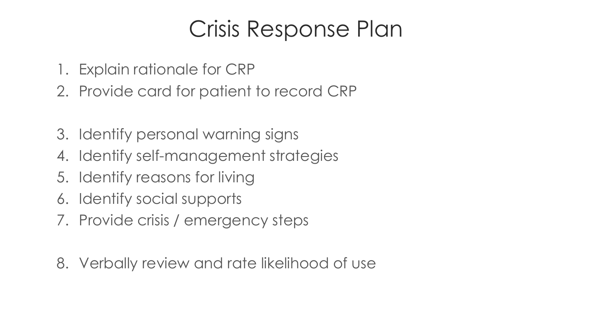## **Crisis Response Plan**

- 1. Explain rationale for CRP
- 2. Provide card for patient to record CRP
- 3. Identify personal warning signs
- 4. Identify self-management strategies
- 5. Identify reasons for living
- 6. Identify social supports
- 7. Provide crisis / emergency steps
- 8. Verbally review and rate likelihood of use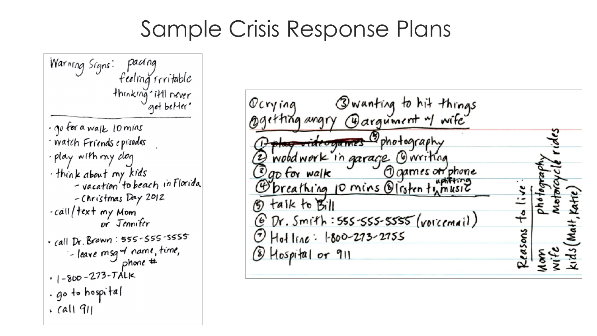#### Sample Crisis Response Plans

: pacing<br>feeling fritable<br>thinking titll never<br>get better Warning Signs: · go for a walk lomins · Watch Friends episodes - play with my dag think about my kids<br>- vacation to beach in Florida -Christmas Day 2012 -call/text my Mom or Jennifer  $\cdot$  call Dr. Brown: 555-555-5555 - leave msg of name, time,  $.1 - 800 - 273 - TALK$ · go to hospital  $\cdot$  call 911

| asons |
|-------|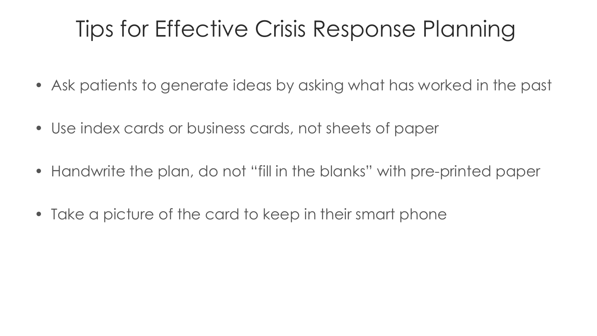#### Tips for Effective Crisis Response Planning **FOR VETERANS STUDIES**

- Ask patients to generate ideas by asking what has worked in the past
- Use index cards or business cards, not sheets of paper
- Handwrite the plan, do not "fill in the blanks" with pre-printed paper
- Take a picture of the card to keep in their smart phone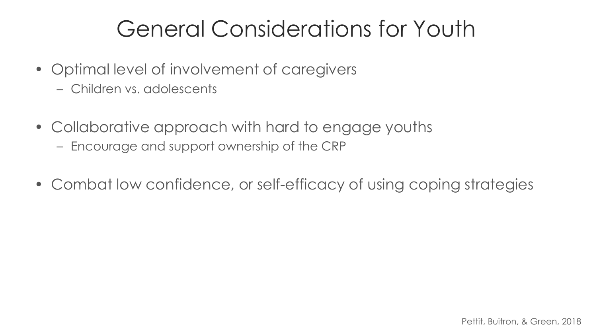# General Considerations for Youth

- Optimal level of involvement of caregivers
	- Children vs. adolescents
- Collaborative approach with hard to engage youths
	- Encourage and support ownership of the CRP
- Combat low confidence, or self-efficacy of using coping strategies